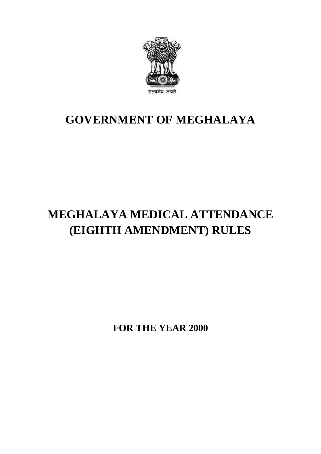

## **GOVERNMENT OF MEGHALAYA**

# **MEGHALAYA MEDICAL ATTENDANCE (EIGHTH AMENDMENT) RULES**

**FOR THE YEAR 2000**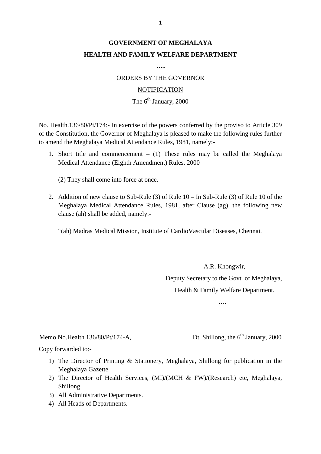## **GOVERNMENT OF MEGHALAYA HEALTH AND FAMILY WELFARE DEPARTMENT**

**….**

ORDERS BY THE GOVERNOR

#### **NOTIFICATION**

### The  $6^{th}$  January, 2000

NOTIFICATION<br>The 6<sup>th</sup> January, 2000<br>No. Health.136/80/Pt/174:- In exercise of the powers conferred by the proviso to Article 309<br>of the Constitution, the Governor of Meghalaya is pleased to make the following rules furthe to amend the Meghalaya Medical Attendance Rules, 1981, namely:- No. Health.136/80/Pt/174:- In exercise of the powers conferred by the proviso to Article 309<br>of the Constitution, the Governor of Meghalaya is pleased to make the following rules further<br>to amend the Meghalaya Medical Atte alth.136/80/Pt/174:- In exercise of the powers conferred by the<br>Constitution, the Governor of Meghalaya is pleased to make the<br>Ind the Meghalaya Medical Attendance Rules, 1981, namely:-<br>Short title and commencement – (1) T

(2) They shall come into force at once.

2. Addition of new clause to Sub-Rule (3) of Rule 10 – In Sub-Rule (3) of Rule 10 of the<br>Meghalaya Medical Attendance Rules, 1981, after Clause (ag), the following new (2) They shall come into force at once.<br>Addition of new clause to Sub-Rule (3) of Rule  $10 - \text{In Sub-Rule}$  (3) of Rule  $10$  of the<br>Meghalaya Medical Attendance Rules, 1981, after Clause (ag), the following new<br>clause (ah) shall clause (ah) shall be added, namely:- Addition of new clause to Sub-Rule (3) of Rule 10 – In Sub-Rule (3) of Rule 10 of<br>Meghalaya Medical Attendance Rules, 1981, after Clause (ag), the following n<br>clause (ah) shall be added, namely:-<br>"(ah) Madras Medical Missi

A.R. Khongwir, Deputy Secretary to the Govt. of Meghalaya, Health & Family Welfare Department.

….

# ....<br>Memo No.Health.136/80/Pt/174-A, Dt. Shillong, the 6<sup>th</sup> January, 2000<br>Copy forwarded to:-Memo No.Health.136/80/Pt/174-A,<br>Copy forwarded to:-

- 1) The Director of Printing & Stationery, Meghalaya, Shillong for publication in the Meghalaya Gazette. Meghalaya Gazette.
- 2000<br>2) The Director of Printing & Stationery, Meghalaya, Shillong for publication in the<br>Meghalaya Gazette.<br>2) The Director of Health Services, (MI)/(MCH & FW)/(Research) etc, Meghalaya,<br>Shillong. Shillong. 1) The Director of Printing & Statione<br>Meghalaya Gazette.<br>2) The Director of Health Services, (1<br>Shillong.<br>3) All Administrative Departments.<br>4) All Heads of Departments. Meghalaya Gazette.<br>
2) The Director of Health S<br>
Shillong.<br>
3) All Administrative Departn<br>
4) All Heads of Departments.
- 
-